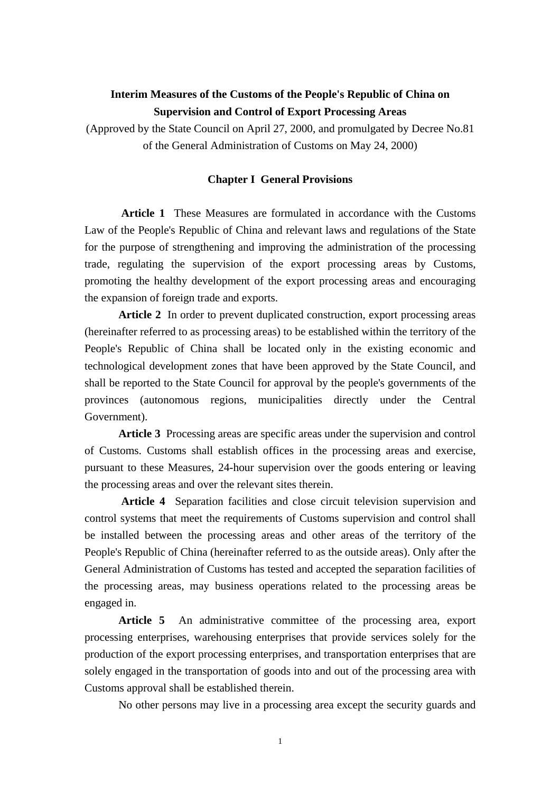# **Interim Measures of the Customs of the People's Republic of China on Supervision and Control of Export Processing Areas**

(Approved by the State Council on April 27, 2000, and promulgated by Decree No.81 of the General Administration of Customs on May 24, 2000)

#### **Chapter I General Provisions**

 **Article 1** These Measures are formulated in accordance with the Customs Law of the People's Republic of China and relevant laws and regulations of the State for the purpose of strengthening and improving the administration of the processing trade, regulating the supervision of the export processing areas by Customs, promoting the healthy development of the export processing areas and encouraging the expansion of foreign trade and exports.

 **Article 2** In order to prevent duplicated construction, export processing areas (hereinafter referred to as processing areas) to be established within the territory of the People's Republic of China shall be located only in the existing economic and technological development zones that have been approved by the State Council, and shall be reported to the State Council for approval by the people's governments of the provinces (autonomous regions, municipalities directly under the Central Government).

 **Article 3** Processing areas are specific areas under the supervision and control of Customs. Customs shall establish offices in the processing areas and exercise, pursuant to these Measures, 24-hour supervision over the goods entering or leaving the processing areas and over the relevant sites therein.

 **Article 4** Separation facilities and close circuit television supervision and control systems that meet the requirements of Customs supervision and control shall be installed between the processing areas and other areas of the territory of the People's Republic of China (hereinafter referred to as the outside areas). Only after the General Administration of Customs has tested and accepted the separation facilities of the processing areas, may business operations related to the processing areas be engaged in.

Article 5 An administrative committee of the processing area, export processing enterprises, warehousing enterprises that provide services solely for the production of the export processing enterprises, and transportation enterprises that are solely engaged in the transportation of goods into and out of the processing area with Customs approval shall be established therein.

No other persons may live in a processing area except the security guards and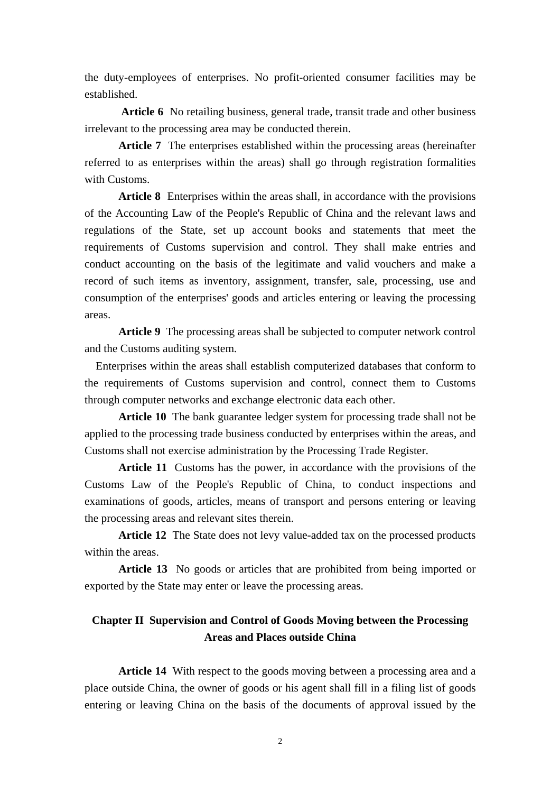the duty-employees of enterprises. No profit-oriented consumer facilities may be established.

 **Article 6** No retailing business, general trade, transit trade and other business irrelevant to the processing area may be conducted therein.

 **Article 7** The enterprises established within the processing areas (hereinafter referred to as enterprises within the areas) shall go through registration formalities with Customs.

 **Article 8** Enterprises within the areas shall, in accordance with the provisions of the Accounting Law of the People's Republic of China and the relevant laws and regulations of the State, set up account books and statements that meet the requirements of Customs supervision and control. They shall make entries and conduct accounting on the basis of the legitimate and valid vouchers and make a record of such items as inventory, assignment, transfer, sale, processing, use and consumption of the enterprises' goods and articles entering or leaving the processing areas.

 **Article 9** The processing areas shall be subjected to computer network control and the Customs auditing system.

 Enterprises within the areas shall establish computerized databases that conform to the requirements of Customs supervision and control, connect them to Customs through computer networks and exchange electronic data each other.

 **Article 10** The bank guarantee ledger system for processing trade shall not be applied to the processing trade business conducted by enterprises within the areas, and Customs shall not exercise administration by the Processing Trade Register.

 **Article 11** Customs has the power, in accordance with the provisions of the Customs Law of the People's Republic of China, to conduct inspections and examinations of goods, articles, means of transport and persons entering or leaving the processing areas and relevant sites therein.

 **Article 12** The State does not levy value-added tax on the processed products within the areas.

 **Article 13** No goods or articles that are prohibited from being imported or exported by the State may enter or leave the processing areas.

# **Chapter II Supervision and Control of Goods Moving between the Processing Areas and Places outside China**

 **Article 14** With respect to the goods moving between a processing area and a place outside China, the owner of goods or his agent shall fill in a filing list of goods entering or leaving China on the basis of the documents of approval issued by the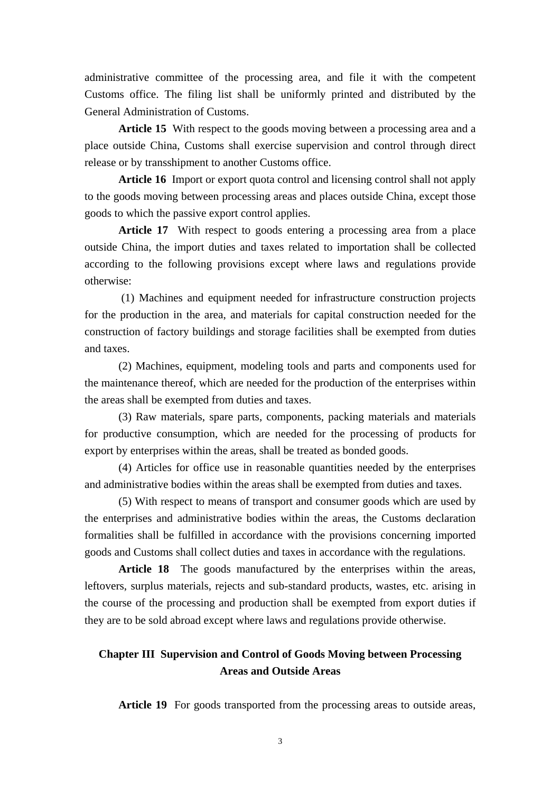administrative committee of the processing area, and file it with the competent Customs office. The filing list shall be uniformly printed and distributed by the General Administration of Customs.

 **Article 15** With respect to the goods moving between a processing area and a place outside China, Customs shall exercise supervision and control through direct release or by transshipment to another Customs office.

 **Article 16** Import or export quota control and licensing control shall not apply to the goods moving between processing areas and places outside China, except those goods to which the passive export control applies.

 **Article 17** With respect to goods entering a processing area from a place outside China, the import duties and taxes related to importation shall be collected according to the following provisions except where laws and regulations provide otherwise:

 (1) Machines and equipment needed for infrastructure construction projects for the production in the area, and materials for capital construction needed for the construction of factory buildings and storage facilities shall be exempted from duties and taxes.

 (2) Machines, equipment, modeling tools and parts and components used for the maintenance thereof, which are needed for the production of the enterprises within the areas shall be exempted from duties and taxes.

 (3) Raw materials, spare parts, components, packing materials and materials for productive consumption, which are needed for the processing of products for export by enterprises within the areas, shall be treated as bonded goods.

 (4) Articles for office use in reasonable quantities needed by the enterprises and administrative bodies within the areas shall be exempted from duties and taxes.

 (5) With respect to means of transport and consumer goods which are used by the enterprises and administrative bodies within the areas, the Customs declaration formalities shall be fulfilled in accordance with the provisions concerning imported goods and Customs shall collect duties and taxes in accordance with the regulations.

 **Article 18** The goods manufactured by the enterprises within the areas, leftovers, surplus materials, rejects and sub-standard products, wastes, etc. arising in the course of the processing and production shall be exempted from export duties if they are to be sold abroad except where laws and regulations provide otherwise.

## **Chapter III Supervision and Control of Goods Moving between Processing Areas and Outside Areas**

Article 19 For goods transported from the processing areas to outside areas,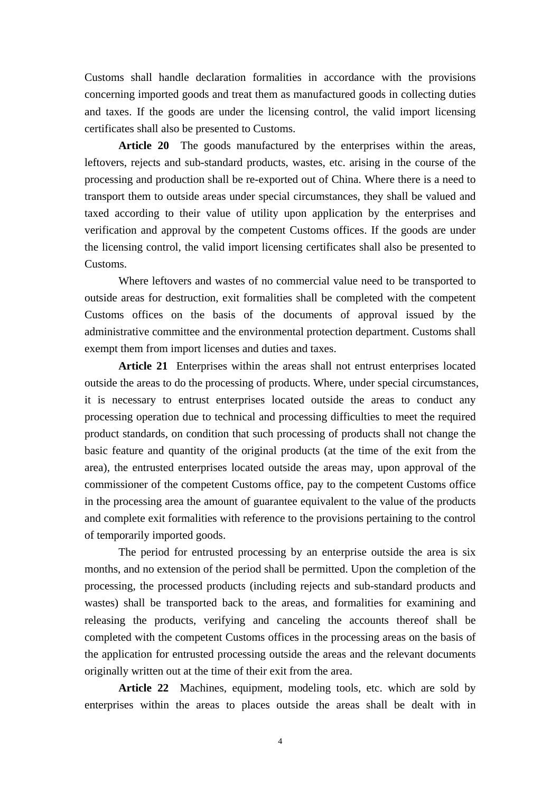Customs shall handle declaration formalities in accordance with the provisions concerning imported goods and treat them as manufactured goods in collecting duties and taxes. If the goods are under the licensing control, the valid import licensing certificates shall also be presented to Customs.

Article 20 The goods manufactured by the enterprises within the areas, leftovers, rejects and sub-standard products, wastes, etc. arising in the course of the processing and production shall be re-exported out of China. Where there is a need to transport them to outside areas under special circumstances, they shall be valued and taxed according to their value of utility upon application by the enterprises and verification and approval by the competent Customs offices. If the goods are under the licensing control, the valid import licensing certificates shall also be presented to Customs.

 Where leftovers and wastes of no commercial value need to be transported to outside areas for destruction, exit formalities shall be completed with the competent Customs offices on the basis of the documents of approval issued by the administrative committee and the environmental protection department. Customs shall exempt them from import licenses and duties and taxes.

 **Article 21** Enterprises within the areas shall not entrust enterprises located outside the areas to do the processing of products. Where, under special circumstances, it is necessary to entrust enterprises located outside the areas to conduct any processing operation due to technical and processing difficulties to meet the required product standards, on condition that such processing of products shall not change the basic feature and quantity of the original products (at the time of the exit from the area), the entrusted enterprises located outside the areas may, upon approval of the commissioner of the competent Customs office, pay to the competent Customs office in the processing area the amount of guarantee equivalent to the value of the products and complete exit formalities with reference to the provisions pertaining to the control of temporarily imported goods.

 The period for entrusted processing by an enterprise outside the area is six months, and no extension of the period shall be permitted. Upon the completion of the processing, the processed products (including rejects and sub-standard products and wastes) shall be transported back to the areas, and formalities for examining and releasing the products, verifying and canceling the accounts thereof shall be completed with the competent Customs offices in the processing areas on the basis of the application for entrusted processing outside the areas and the relevant documents originally written out at the time of their exit from the area.

 **Article 22** Machines, equipment, modeling tools, etc. which are sold by enterprises within the areas to places outside the areas shall be dealt with in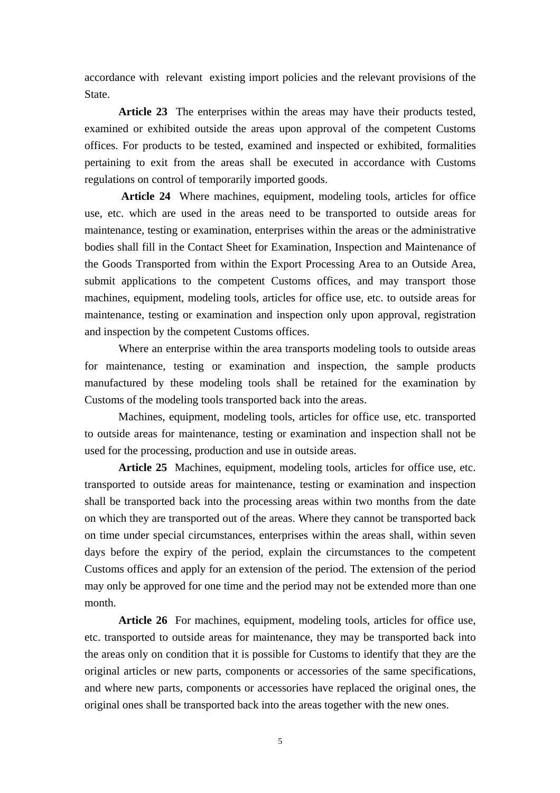accordance with relevant existing import policies and the relevant provisions of the State.

 **Article 23** The enterprises within the areas may have their products tested, examined or exhibited outside the areas upon approval of the competent Customs offices. For products to be tested, examined and inspected or exhibited, formalities pertaining to exit from the areas shall be executed in accordance with Customs regulations on control of temporarily imported goods.

 **Article 24** Where machines, equipment, modeling tools, articles for office use, etc. which are used in the areas need to be transported to outside areas for maintenance, testing or examination, enterprises within the areas or the administrative bodies shall fill in the Contact Sheet for Examination, Inspection and Maintenance of the Goods Transported from within the Export Processing Area to an Outside Area, submit applications to the competent Customs offices, and may transport those machines, equipment, modeling tools, articles for office use, etc. to outside areas for maintenance, testing or examination and inspection only upon approval, registration and inspection by the competent Customs offices.

 Where an enterprise within the area transports modeling tools to outside areas for maintenance, testing or examination and inspection, the sample products manufactured by these modeling tools shall be retained for the examination by Customs of the modeling tools transported back into the areas.

 Machines, equipment, modeling tools, articles for office use, etc. transported to outside areas for maintenance, testing or examination and inspection shall not be used for the processing, production and use in outside areas.

 **Article 25** Machines, equipment, modeling tools, articles for office use, etc. transported to outside areas for maintenance, testing or examination and inspection shall be transported back into the processing areas within two months from the date on which they are transported out of the areas. Where they cannot be transported back on time under special circumstances, enterprises within the areas shall, within seven days before the expiry of the period, explain the circumstances to the competent Customs offices and apply for an extension of the period. The extension of the period may only be approved for one time and the period may not be extended more than one month.

Article 26 For machines, equipment, modeling tools, articles for office use, etc. transported to outside areas for maintenance, they may be transported back into the areas only on condition that it is possible for Customs to identify that they are the original articles or new parts, components or accessories of the same specifications, and where new parts, components or accessories have replaced the original ones, the original ones shall be transported back into the areas together with the new ones.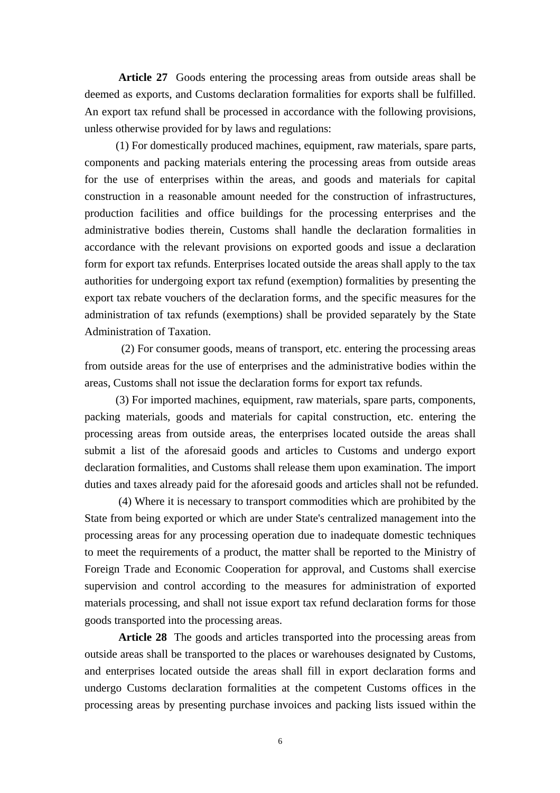**Article 27** Goods entering the processing areas from outside areas shall be deemed as exports, and Customs declaration formalities for exports shall be fulfilled. An export tax refund shall be processed in accordance with the following provisions, unless otherwise provided for by laws and regulations:

 (1) For domestically produced machines, equipment, raw materials, spare parts, components and packing materials entering the processing areas from outside areas for the use of enterprises within the areas, and goods and materials for capital construction in a reasonable amount needed for the construction of infrastructures, production facilities and office buildings for the processing enterprises and the administrative bodies therein, Customs shall handle the declaration formalities in accordance with the relevant provisions on exported goods and issue a declaration form for export tax refunds. Enterprises located outside the areas shall apply to the tax authorities for undergoing export tax refund (exemption) formalities by presenting the export tax rebate vouchers of the declaration forms, and the specific measures for the administration of tax refunds (exemptions) shall be provided separately by the State Administration of Taxation.

 (2) For consumer goods, means of transport, etc. entering the processing areas from outside areas for the use of enterprises and the administrative bodies within the areas, Customs shall not issue the declaration forms for export tax refunds.

 (3) For imported machines, equipment, raw materials, spare parts, components, packing materials, goods and materials for capital construction, etc. entering the processing areas from outside areas, the enterprises located outside the areas shall submit a list of the aforesaid goods and articles to Customs and undergo export declaration formalities, and Customs shall release them upon examination. The import duties and taxes already paid for the aforesaid goods and articles shall not be refunded.

 (4) Where it is necessary to transport commodities which are prohibited by the State from being exported or which are under State's centralized management into the processing areas for any processing operation due to inadequate domestic techniques to meet the requirements of a product, the matter shall be reported to the Ministry of Foreign Trade and Economic Cooperation for approval, and Customs shall exercise supervision and control according to the measures for administration of exported materials processing, and shall not issue export tax refund declaration forms for those goods transported into the processing areas.

 **Article 28** The goods and articles transported into the processing areas from outside areas shall be transported to the places or warehouses designated by Customs, and enterprises located outside the areas shall fill in export declaration forms and undergo Customs declaration formalities at the competent Customs offices in the processing areas by presenting purchase invoices and packing lists issued within the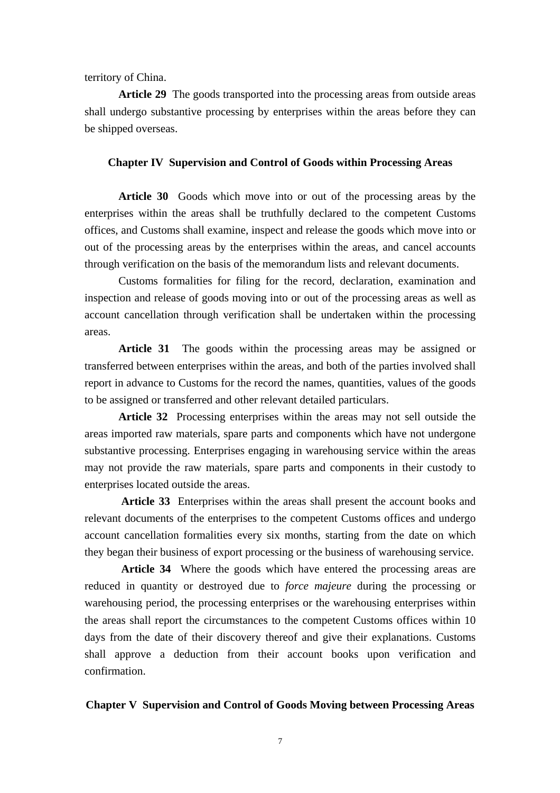territory of China.

 **Article 29** The goods transported into the processing areas from outside areas shall undergo substantive processing by enterprises within the areas before they can be shipped overseas.

### **Chapter IV Supervision and Control of Goods within Processing Areas**

 **Article 30** Goods which move into or out of the processing areas by the enterprises within the areas shall be truthfully declared to the competent Customs offices, and Customs shall examine, inspect and release the goods which move into or out of the processing areas by the enterprises within the areas, and cancel accounts through verification on the basis of the memorandum lists and relevant documents.

 Customs formalities for filing for the record, declaration, examination and inspection and release of goods moving into or out of the processing areas as well as account cancellation through verification shall be undertaken within the processing areas.

 **Article 31** The goods within the processing areas may be assigned or transferred between enterprises within the areas, and both of the parties involved shall report in advance to Customs for the record the names, quantities, values of the goods to be assigned or transferred and other relevant detailed particulars.

 **Article 32** Processing enterprises within the areas may not sell outside the areas imported raw materials, spare parts and components which have not undergone substantive processing. Enterprises engaging in warehousing service within the areas may not provide the raw materials, spare parts and components in their custody to enterprises located outside the areas.

 **Article 33** Enterprises within the areas shall present the account books and relevant documents of the enterprises to the competent Customs offices and undergo account cancellation formalities every six months, starting from the date on which they began their business of export processing or the business of warehousing service.

 **Article 34** Where the goods which have entered the processing areas are reduced in quantity or destroyed due to *force majeure* during the processing or warehousing period, the processing enterprises or the warehousing enterprises within the areas shall report the circumstances to the competent Customs offices within 10 days from the date of their discovery thereof and give their explanations. Customs shall approve a deduction from their account books upon verification and confirmation.

### **Chapter V Supervision and Control of Goods Moving between Processing Areas**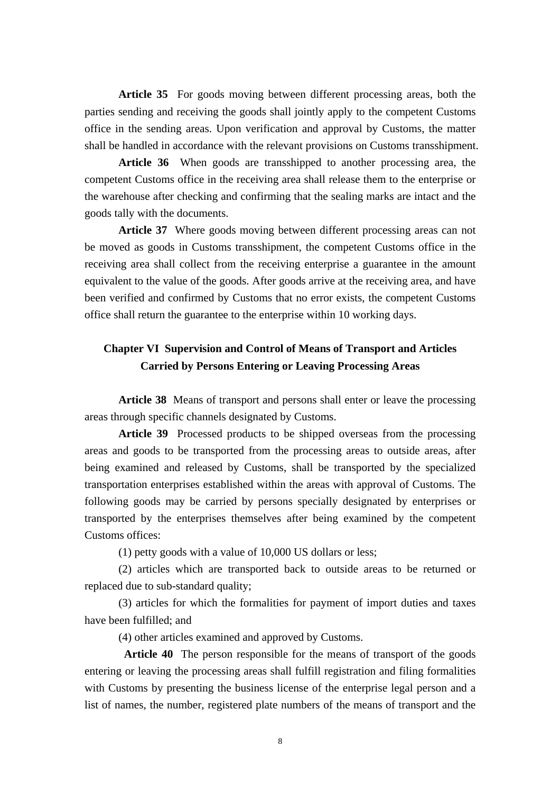**Article 35** For goods moving between different processing areas, both the parties sending and receiving the goods shall jointly apply to the competent Customs office in the sending areas. Upon verification and approval by Customs, the matter shall be handled in accordance with the relevant provisions on Customs transshipment.

 **Article 36** When goods are transshipped to another processing area, the competent Customs office in the receiving area shall release them to the enterprise or the warehouse after checking and confirming that the sealing marks are intact and the goods tally with the documents.

 **Article 37** Where goods moving between different processing areas can not be moved as goods in Customs transshipment, the competent Customs office in the receiving area shall collect from the receiving enterprise a guarantee in the amount equivalent to the value of the goods. After goods arrive at the receiving area, and have been verified and confirmed by Customs that no error exists, the competent Customs office shall return the guarantee to the enterprise within 10 working days.

## **Chapter VI Supervision and Control of Means of Transport and Articles Carried by Persons Entering or Leaving Processing Areas**

 **Article 38** Means of transport and persons shall enter or leave the processing areas through specific channels designated by Customs.

 **Article 39** Processed products to be shipped overseas from the processing areas and goods to be transported from the processing areas to outside areas, after being examined and released by Customs, shall be transported by the specialized transportation enterprises established within the areas with approval of Customs. The following goods may be carried by persons specially designated by enterprises or transported by the enterprises themselves after being examined by the competent Customs offices:

(1) petty goods with a value of 10,000 US dollars or less;

 (2) articles which are transported back to outside areas to be returned or replaced due to sub-standard quality;

 (3) articles for which the formalities for payment of import duties and taxes have been fulfilled; and

(4) other articles examined and approved by Customs.

 **Article 40** The person responsible for the means of transport of the goods entering or leaving the processing areas shall fulfill registration and filing formalities with Customs by presenting the business license of the enterprise legal person and a list of names, the number, registered plate numbers of the means of transport and the